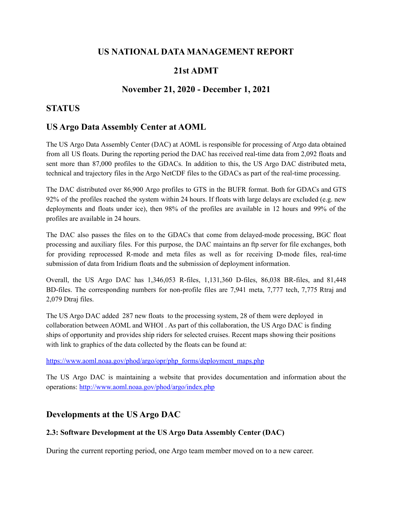## **US NATIONAL DATA MANAGEMENT REPORT**

# **21st ADMT**

## **November 21, 2020 - December 1, 2021**

## **STATUS**

## **US Argo Data Assembly Center at AOML**

The US Argo Data Assembly Center (DAC) at AOML is responsible for processing of Argo data obtained from all US floats. During the reporting period the DAC has received real-time data from 2,092 floats and sent more than 87,000 profiles to the GDACs. In addition to this, the US Argo DAC distributed meta, technical and trajectory files in the Argo NetCDF files to the GDACs as part of the real-time processing.

The DAC distributed over 86,900 Argo profiles to GTS in the BUFR format. Both for GDACs and GTS 92% of the profiles reached the system within 24 hours. If floats with large delays are excluded (e.g. new deployments and floats under ice), then 98% of the profiles are available in 12 hours and 99% of the profiles are available in 24 hours.

The DAC also passes the files on to the GDACs that come from delayed-mode processing, BGC float processing and auxiliary files. For this purpose, the DAC maintains an ftp server for file exchanges, both for providing reprocessed R-mode and meta files as well as for receiving D-mode files, real-time submission of data from Iridium floats and the submission of deployment information.

Overall, the US Argo DAC has 1,346,053 R-files, 1,131,360 D-files, 86,038 BR-files, and 81,448 BD-files. The corresponding numbers for non-profile files are 7,941 meta, 7,777 tech, 7,775 Rtraj and 2,079 Dtraj files.

The US Argo DAC added 287 new floats to the processing system, 28 of them were deployed in collaboration between AOML and WHOI . As part of this collaboration, the US Argo DAC is finding ships of opportunity and provides ship riders for selected cruises. Recent maps showing their positions with link to graphics of the data collected by the floats can be found at:

[https://www.aoml.noaa.gov/phod/argo/opr/php\\_forms/deployment\\_maps.php](https://www.aoml.noaa.gov/phod/argo/opr/php_forms/deployment_maps.php)

The US Argo DAC is maintaining a website that provides documentation and information about the operations: <http://www.aoml.noaa.gov/phod/argo/index.php>

## **Developments at the US Argo DAC**

### **2.3: Software Development at the US Argo Data Assembly Center (DAC)**

During the current reporting period, one Argo team member moved on to a new career.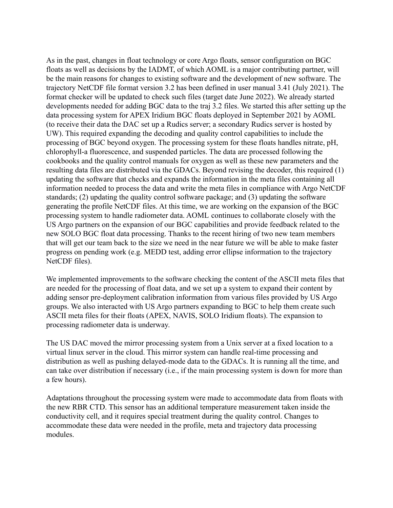As in the past, changes in float technology or core Argo floats, sensor configuration on BGC floats as well as decisions by the IADMT, of which AOML is a major contributing partner, will be the main reasons for changes to existing software and the development of new software. The trajectory NetCDF file format version 3.2 has been defined in user manual 3.41 (July 2021). The format checker will be updated to check such files (target date June 2022). We already started developments needed for adding BGC data to the traj 3.2 files. We started this after setting up the data processing system for APEX Iridium BGC floats deployed in September 2021 by AOML (to receive their data the DAC set up a Rudics server; a secondary Rudics server is hosted by UW). This required expanding the decoding and quality control capabilities to include the processing of BGC beyond oxygen. The processing system for these floats handles nitrate, pH, chlorophyll-a fluorescence, and suspended particles. The data are processed following the cookbooks and the quality control manuals for oxygen as well as these new parameters and the resulting data files are distributed via the GDACs. Beyond revising the decoder, this required (1) updating the software that checks and expands the information in the meta files containing all information needed to process the data and write the meta files in compliance with Argo NetCDF standards; (2) updating the quality control software package; and (3) updating the software generating the profile NetCDF files. At this time, we are working on the expansion of the BGC processing system to handle radiometer data. AOML continues to collaborate closely with the US Argo partners on the expansion of our BGC capabilities and provide feedback related to the new SOLO BGC float data processing. Thanks to the recent hiring of two new team members that will get our team back to the size we need in the near future we will be able to make faster progress on pending work (e.g. MEDD test, adding error ellipse information to the trajectory NetCDF files).

We implemented improvements to the software checking the content of the ASCII meta files that are needed for the processing of float data, and we set up a system to expand their content by adding sensor pre-deployment calibration information from various files provided by US Argo groups. We also interacted with US Argo partners expanding to BGC to help them create such ASCII meta files for their floats (APEX, NAVIS, SOLO Iridium floats). The expansion to processing radiometer data is underway.

The US DAC moved the mirror processing system from a Unix server at a fixed location to a virtual linux server in the cloud. This mirror system can handle real-time processing and distribution as well as pushing delayed-mode data to the GDACs. It is running all the time, and can take over distribution if necessary (i.e., if the main processing system is down for more than a few hours).

Adaptations throughout the processing system were made to accommodate data from floats with the new RBR CTD. This sensor has an additional temperature measurement taken inside the conductivity cell, and it requires special treatment during the quality control. Changes to accommodate these data were needed in the profile, meta and trajectory data processing modules.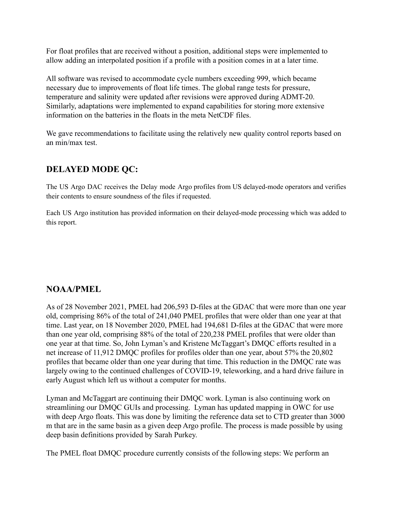For float profiles that are received without a position, additional steps were implemented to allow adding an interpolated position if a profile with a position comes in at a later time.

All software was revised to accommodate cycle numbers exceeding 999, which became necessary due to improvements of float life times. The global range tests for pressure, temperature and salinity were updated after revisions were approved during ADMT-20. Similarly, adaptations were implemented to expand capabilities for storing more extensive information on the batteries in the floats in the meta NetCDF files.

We gave recommendations to facilitate using the relatively new quality control reports based on an min/max test.

# **DELAYED MODE QC:**

The US Argo DAC receives the Delay mode Argo profiles from US delayed-mode operators and verifies their contents to ensure soundness of the files if requested.

Each US Argo institution has provided information on their delayed-mode processing which was added to this report.

# **NOAA/PMEL**

As of 28 November 2021, PMEL had 206,593 D-files at the GDAC that were more than one year old, comprising 86% of the total of 241,040 PMEL profiles that were older than one year at that time. Last year, on 18 November 2020, PMEL had 194,681 D-files at the GDAC that were more than one year old, comprising 88% of the total of 220,238 PMEL profiles that were older than one year at that time. So, John Lyman's and Kristene McTaggart's DMQC efforts resulted in a net increase of 11,912 DMQC profiles for profiles older than one year, about 57% the 20,802 profiles that became older than one year during that time. This reduction in the DMQC rate was largely owing to the continued challenges of COVID-19, teleworking, and a hard drive failure in early August which left us without a computer for months.

Lyman and McTaggart are continuing their DMQC work. Lyman is also continuing work on streamlining our DMQC GUIs and processing. Lyman has updated mapping in OWC for use with deep Argo floats. This was done by limiting the reference data set to CTD greater than 3000 m that are in the same basin as a given deep Argo profile. The process is made possible by using deep basin definitions provided by Sarah Purkey.

The PMEL float DMQC procedure currently consists of the following steps: We perform an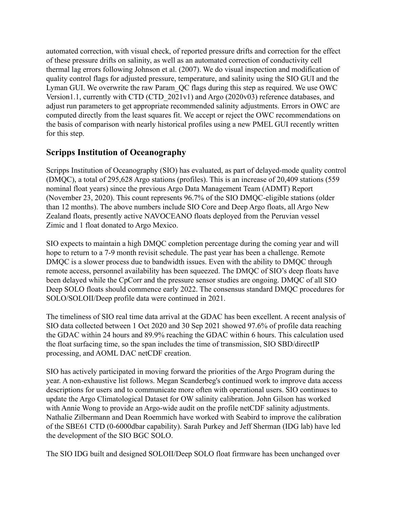automated correction, with visual check, of reported pressure drifts and correction for the effect of these pressure drifts on salinity, as well as an automated correction of conductivity cell thermal lag errors following Johnson et al. (2007). We do visual inspection and modification of quality control flags for adjusted pressure, temperature, and salinity using the SIO GUI and the Lyman GUI. We overwrite the raw Param\_QC flags during this step as required. We use OWC Version1.1, currently with CTD (CTD\_2021v1) and Argo (2020v03) reference databases, and adjust run parameters to get appropriate recommended salinity adjustments. Errors in OWC are computed directly from the least squares fit. We accept or reject the OWC recommendations on the basis of comparison with nearly historical profiles using a new PMEL GUI recently written for this step.

# **Scripps Institution of Oceanography**

Scripps Institution of Oceanography (SIO) has evaluated, as part of delayed-mode quality control (DMQC), a total of 295,628 Argo stations (profiles). This is an increase of 20,409 stations (559 nominal float years) since the previous Argo Data Management Team (ADMT) Report (November 23, 2020). This count represents 96.7% of the SIO DMQC-eligible stations (older than 12 months). The above numbers include SIO Core and Deep Argo floats, all Argo New Zealand floats, presently active NAVOCEANO floats deployed from the Peruvian vessel Zimic and 1 float donated to Argo Mexico.

SIO expects to maintain a high DMQC completion percentage during the coming year and will hope to return to a 7-9 month revisit schedule. The past year has been a challenge. Remote DMOC is a slower process due to bandwidth issues. Even with the ability to DMOC through remote access, personnel availability has been squeezed. The DMQC of SIO's deep floats have been delayed while the CpCorr and the pressure sensor studies are ongoing. DMQC of all SIO Deep SOLO floats should commence early 2022. The consensus standard DMQC procedures for SOLO/SOLOII/Deep profile data were continued in 2021.

The timeliness of SIO real time data arrival at the GDAC has been excellent. A recent analysis of SIO data collected between 1 Oct 2020 and 30 Sep 2021 showed 97.6% of profile data reaching the GDAC within 24 hours and 89.9% reaching the GDAC within 6 hours. This calculation used the float surfacing time, so the span includes the time of transmission, SIO SBD/directIP processing, and AOML DAC netCDF creation.

SIO has actively participated in moving forward the priorities of the Argo Program during the year. A non-exhaustive list follows. Megan Scanderbeg's continued work to improve data access descriptions for users and to communicate more often with operational users. SIO continues to update the Argo Climatological Dataset for OW salinity calibration. John Gilson has worked with Annie Wong to provide an Argo-wide audit on the profile netCDF salinity adjustments. Nathalie Zilbermann and Dean Roemmich have worked with Seabird to improve the calibration of the SBE61 CTD (0-6000dbar capability). Sarah Purkey and Jeff Sherman (IDG lab) have led the development of the SIO BGC SOLO.

The SIO IDG built and designed SOLOII/Deep SOLO float firmware has been unchanged over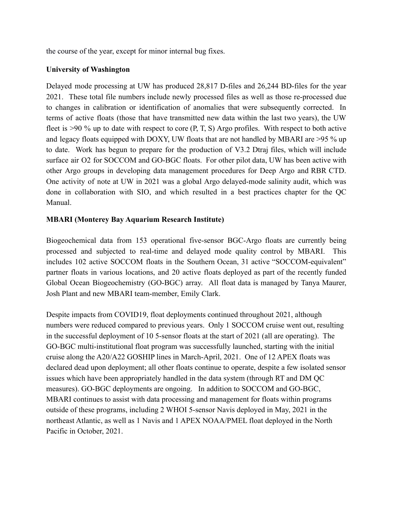the course of the year, except for minor internal bug fixes.

### **University of Washington**

Delayed mode processing at UW has produced 28,817 D-files and 26,244 BD-files for the year 2021. These total file numbers include newly processed files as well as those re-processed due to changes in calibration or identification of anomalies that were subsequently corrected. In terms of active floats (those that have transmitted new data within the last two years), the UW fleet is >90 % up to date with respect to core  $(P, T, S)$  Argo profiles. With respect to both active and legacy floats equipped with DOXY, UW floats that are not handled by MBARI are >95 % up to date. Work has begun to prepare for the production of V3.2 Dtraj files, which will include surface air O2 for SOCCOM and GO-BGC floats. For other pilot data, UW has been active with other Argo groups in developing data management procedures for Deep Argo and RBR CTD. One activity of note at UW in 2021 was a global Argo delayed-mode salinity audit, which was done in collaboration with SIO, and which resulted in a best practices chapter for the QC Manual.

### **MBARI (Monterey Bay Aquarium Research Institute)**

Biogeochemical data from 153 operational five-sensor BGC-Argo floats are currently being processed and subjected to real-time and delayed mode quality control by MBARI. This includes 102 active SOCCOM floats in the Southern Ocean, 31 active "SOCCOM-equivalent" partner floats in various locations, and 20 active floats deployed as part of the recently funded Global Ocean Biogeochemistry (GO-BGC) array. All float data is managed by Tanya Maurer, Josh Plant and new MBARI team-member, Emily Clark.

Despite impacts from COVID19, float deployments continued throughout 2021, although numbers were reduced compared to previous years. Only 1 SOCCOM cruise went out, resulting in the successful deployment of 10 5-sensor floats at the start of 2021 (all are operating). The GO-BGC multi-institutional float program was successfully launched, starting with the initial cruise along the A20/A22 GOSHIP lines in March-April, 2021. One of 12 APEX floats was declared dead upon deployment; all other floats continue to operate, despite a few isolated sensor issues which have been appropriately handled in the data system (through RT and DM QC measures). GO-BGC deployments are ongoing. In addition to SOCCOM and GO-BGC, MBARI continues to assist with data processing and management for floats within programs outside of these programs, including 2 WHOI 5-sensor Navis deployed in May, 2021 in the northeast Atlantic, as well as 1 Navis and 1 APEX NOAA/PMEL float deployed in the North Pacific in October, 2021.